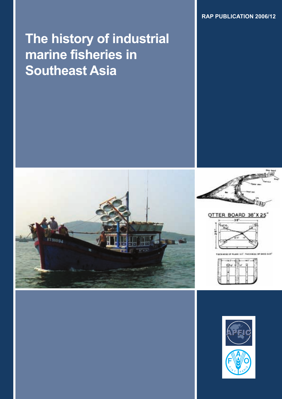**RAP PUBLICATION 2006/12**

# **The history of industrial marine fisheries in Southeast Asia**





#### OTTER BOARD 38°X25'





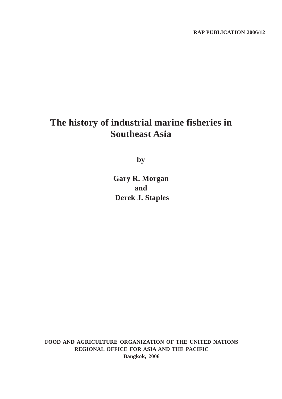## **The history of industrial marine fisheries in Southeast Asia**

**by**

**Gary R. Morgan and Derek J. Staples**

**FOOD AND AGRICULTURE ORGANIZATION OF THE UNITED NATIONS REGIONAL OFFICE FOR ASIA AND THE PACIFIC Bangkok, 2006**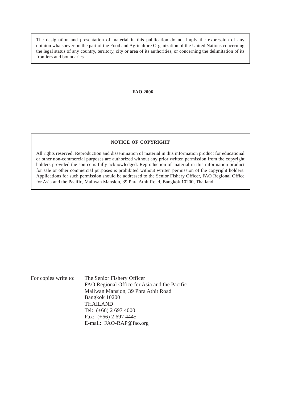The designation and presentation of material in this publication do not imply the expression of any opinion whatsoever on the part of the Food and Agriculture Organization of the United Nations concerning the legal status of any country, territory, city or area of its authorities, or concerning the delimitation of its frontiers and boundaries.

#### **FAO 2006**

#### **NOTICE OF COPYRIGHT**

All rights reserved. Reproduction and dissemination of material in this information product for educational or other non-commercial purposes are authorized without any prior written permission from the copyright holders provided the source is fully acknowledged. Reproduction of material in this information product for sale or other commercial purposes is prohibited without written permission of the copyright holders. Applications for such permission should be addressed to the Senior Fishery Officer, FAO Regional Office for Asia and the Pacific, Maliwan Mansion, 39 Phra Athit Road, Bangkok 10200, Thailand.

For copies write to: The Senior Fishery Officer FAO Regional Office for Asia and the Pacific Maliwan Mansion, 39 Phra Athit Road Bangkok 10200 THAILAND Tel: (+66) 2 697 4000 Fax: (+66) 2 697 4445 E-mail: FAO-RAP@fao.org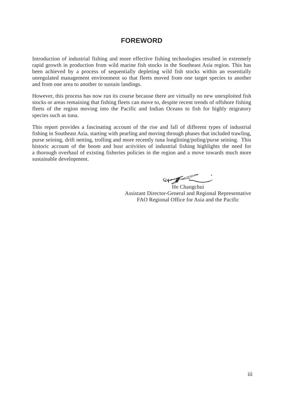### **FOREWORD**

Introduction of industrial fishing and more effective fishing technologies resulted in extremely rapid growth in production from wild marine fish stocks in the Southeast Asia region. This has been achieved by a process of sequentially depleting wild fish stocks within an essentially unregulated management environment so that fleets moved from one target species to another and from one area to another to sustain landings.

However, this process has now run its course because there are virtually no new unexploited fish stocks or areas remaining that fishing fleets can move to, despite recent trends of offshore fishing fleets of the region moving into the Pacific and Indian Oceans to fish for highly migratory species such as tuna.

This report provides a fascinating account of the rise and fall of different types of industrial fishing in Southeast Asia, starting with pearling and moving through phases that included trawling, purse seining, drift netting, trolling and more recently tuna longlining/poling/purse seining. This historic account of the boom and bust activities of industrial fishing highlights the need for a thorough overhaul of existing fisheries policies in the region and a move towards much more sustainable development.

 $\rightarrow$ 

He Changchui Assistant Director-General and Regional Representative FAO Regional Office for Asia and the Pacific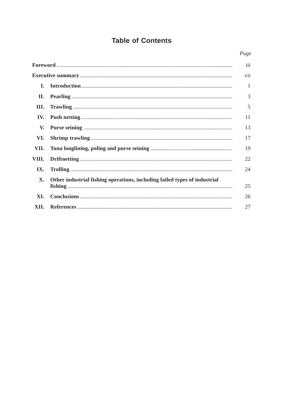### **Table of Contents**

#### Page

|            |                                                                           | iii |
|------------|---------------------------------------------------------------------------|-----|
|            |                                                                           | vii |
| I.         |                                                                           | 1   |
| П.         |                                                                           | 3   |
| Ш.         |                                                                           | 5   |
| IV.        |                                                                           | 11  |
| V.         |                                                                           | 13  |
| VI.        |                                                                           | 17  |
| VII.       |                                                                           | 19  |
| VIII.      |                                                                           | 22  |
| <b>IX.</b> |                                                                           | 24  |
| X.         | Other industrial fishing operations, including failed types of industrial | 25  |
| XI.        |                                                                           | 26  |
| XII.       |                                                                           | 27  |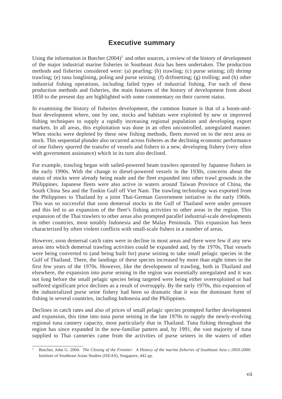### **Executive summary**

Using the information in Butcher  $(2004)^1$  and other sources, a review of the history of development of the major industrial marine fisheries in Southeast Asia has been undertaken. The production methods and fisheries considered were: (a) pearling; (b) trawling; (c) purse seining; (d) shrimp trawling; (e) tuna longlining, poling and purse seining; (f) driftnetting; (g) trolling; and (h) other industrial fishing operations, including failed types of industrial fishing. For each of these production methods and fisheries, the main features of the history of development from about 1850 to the present day are highlighted with some commentary on their current status.

In examining the history of fisheries development, the common feature is that of a boom-andbust development where, one by one, stocks and habitats were exploited by new or improved fishing techniques to supply a rapidly increasing regional population and developing export markets. In all areas, this exploitation was done in an often uncontrolled, unregulated manner. When stocks were depleted by these new fishing methods, fleets moved on to the next area or stock. This sequential plunder also occurred across fisheres as the declining economic performance of one fishery spurred the transfer of vessels and fishers to a new, developing fishery (very often with government assistance) which in its turn also declined.

For example, trawling began with sailed-powered beam trawlers operated by Japanese fishers in the early 1990s. With the change to diesel-powered vessels in the 1930s, concerns about the status of stocks were already being made and the fleet expanded into other trawl grounds in the Philippines. Japanese fleets were also active in waters around Taiwan Province of China, the South China Sea and the Tonkin Gulf off Viet Nam. The trawling technology was exported from the Philippines to Thailand by a joint Thai-German Government initiative in the early 1960s. This was so successful that soon demersal stocks in the Gulf of Thailand were under pressure and this led to an expansion of the fleet's fishing activities to other areas in the region. This expansion of the Thai trawlers to other areas also prompted parallel industrial-scale developments in other countries, most notably Indonesia and the Malay Peninsula. This expansion has been characterized by often violent conflicts with small-scale fishers in a number of areas.

However, soon demersal catch rates were in decline in most areas and there were few if any new areas into which demersal trawling activities could be expanded and, by the 1970s, Thai vessels were being converted to (and being built for) purse seining to take small pelagic species in the Gulf of Thailand. There, the landings of these species increased by more than eight times in the first few years of the 1970s. However, like the development of trawling, both in Thailand and elsewhere, the expansion into purse seining in the region was essentially unregulated and it was not long before the small pelagic species being targeted were being either overexploited or had suffered significant price declines as a result of oversupply. By the early 1970s, this expansion of the industrialized purse seine fishery had been so dramatic that it was the dominant form of fishing in several countries, including Indonesia and the Philippines.

Declines in catch rates and also of prices of small pelagic species prompted further development and expansion, this time into tuna purse seining in the late 1970s to supply the newly-evolving regional tuna cannery capacity, most particularly that in Thailand. Tuna fishing throughout the region has since expanded in the now-familiar pattern and, by 1991, the vast majority of tuna supplied to Thai canneries came from the activities of purse seiners in the waters of other

<sup>&</sup>lt;sup>1</sup> Butcher, John G. 2004. *The Closing of the Frontier: A History of the marine fisheries of Southeast Asia c.1850-2000.* Institute of Southeast Asian Studies (ISEAS), Singapore, 442 pp.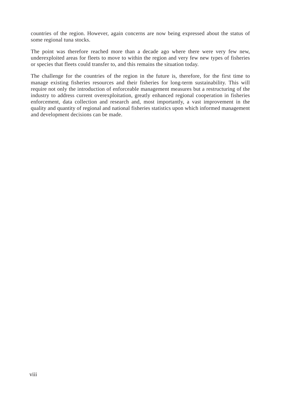countries of the region. However, again concerns are now being expressed about the status of some regional tuna stocks.

The point was therefore reached more than a decade ago where there were very few new, underexploited areas for fleets to move to within the region and very few new types of fisheries or species that fleets could transfer to, and this remains the situation today.

The challenge for the countries of the region in the future is, therefore, for the first time to manage existing fisheries resources and their fisheries for long-term sustainability. This will require not only the introduction of enforceable management measures but a restructuring of the industry to address current overexploitation, greatly enhanced regional cooperation in fisheries enforcement, data collection and research and, most importantly, a vast improvement in the quality and quantity of regional and national fisheries statistics upon which informed management and development decisions can be made.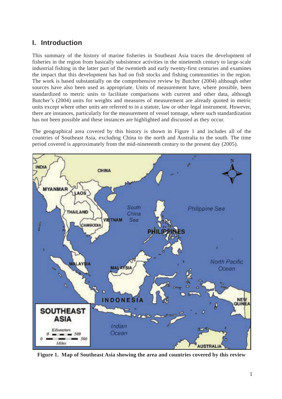### **I. Introduction**

This summary of the history of marine fisheries in Southeast Asia traces the development of fisheries in the region from basically subsistence activities in the nineteenth century to large-scale industrial fishing in the latter part of the twentieth and early twenty-first centuries and examines the impact that this development has had on fish stocks and fishing communities in the region. The work is based substantially on the comprehensive review by Butcher (2004) although other sources have also been used as appropriate. Units of measurement have, where possible, been standardized to metric units to facilitate comparisons with current and other data, although Butcher's (2004) units for weights and measures of measurement are already quoted in metric units except where other units are referred to in a statute, law or other legal instrument. However, there are instances, particularly for the measurement of vessel tonnage, where such standardization has not been possible and these instances are highlighted and discussed as they occur.

The geographical area covered by this history is shown in Figure 1 and includes all of the countries of Southeast Asia, excluding China to the north and Australia to the south. The time period covered is approximately from the mid-nineteenth century to the present day (2005).



**Figure 1. Map of Southeast Asia showing the area and countries covered by this review**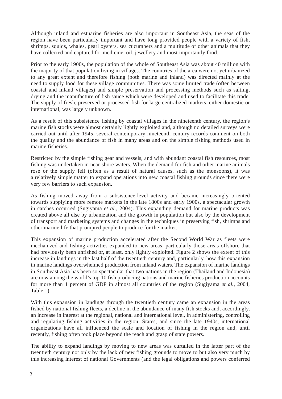Although inland and estuarine fisheries are also important in Southeast Asia, the seas of the region have been particularly important and have long provided people with a variety of fish, shrimps, squids, whales, pearl oysters, sea cucumbers and a multitude of other animals that they have collected and captured for medicine, oil, jewellery and most importantly food.

Prior to the early 1900s, the population of the whole of Southeast Asia was about 40 million with the majority of that population living in villages. The countries of the area were not yet urbanized to any great extent and therefore fishing (both marine and inland) was directed mainly at the need to supply food for these village communities. There was some limited trade (often between coastal and inland villages) and simple preservation and processing methods such as salting, drying and the manufacture of fish sauce which were developed and used to facilitate this trade. The supply of fresh, preserved or processed fish for large centralized markets, either domestic or international, was largely unknown.

As a result of this subsistence fishing by coastal villages in the nineteenth century, the region's marine fish stocks were almost certainly lightly exploited and, although no detailed surveys were carried out until after 1945, several contemporary nineteenth century records comment on both the quality and the abundance of fish in many areas and on the simple fishing methods used in marine fisheries.

Restricted by the simple fishing gear and vessels, and with abundant coastal fish resources, most fishing was undertaken in near-shore waters. When the demand for fish and other marine animals rose or the supply fell (often as a result of natural causes, such as the monsoons), it was a relatively simple matter to expand operations into new coastal fishing grounds since there were very few barriers to such expansion.

As fishing moved away from a subsistence-level activity and became increasingly oriented towards supplying more remote markets in the late 1800s and early 1900s, a spectacular growth in catches occurred (Sugiyama *et al.*, 2004). This expanding demand for marine products was created above all else by urbanization and the growth in population but also by the development of transport and marketing systems and changes in the techniques in preserving fish, shrimps and other marine life that prompted people to produce for the market.

This expansion of marine production accelerated after the Second World War as fleets were mechanized and fishing activities expanded to new areas, particularly those areas offshore that had previously been unfished or, at least, only lightly exploited. Figure 2 shows the extent of this increase in landings in the last half of the twentieth century and, particularly, how this expansion in marine landings overwhelmed production from inland waters. The expansion of marine landings in Southeast Asia has been so spectacular that two nations in the region (Thailand and Indonesia) are now among the world's top 10 fish producing nations and marine fisheries production accounts for more than 1 percent of GDP in almost all countries of the region (Sugiyama *et al.*, 2004, Table 1).

With this expansion in landings through the twentieth century came an expansion in the areas fished by national fishing fleets, a decline in the abundance of many fish stocks and, accordingly, an increase in interest at the regional, national and international level, in administering, controlling and regulating fishing activities in the region. States, and since the late 1940s, international organizations have all influenced the scale and location of fishing in the region and, until recently, fishing often took place beyond the reach and grasp of state powers.

The ability to expand landings by moving to new areas was curtailed in the latter part of the twentieth century not only by the lack of new fishing grounds to move to but also very much by this increasing interest of national Governments (and the legal obligations and powers conferred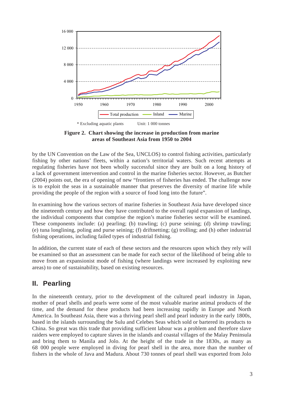

**Figure 2. Chart showing the increase in production from marine areas of Southeast Asia from 1950 to 2004**

by the UN Convention on the Law of the Sea, UNCLOS) to control fishing activities, particularly fishing by other nations' fleets, within a nation's territorial waters. Such recent attempts at regulating fisheries have not been wholly successful since they are built on a long history of a lack of government intervention and control in the marine fisheries sector. However, as Butcher (2004) points out, the era of opening of new "frontiers of fisheries has ended. The challenge now is to exploit the seas in a sustainable manner that preserves the diversity of marine life while providing the people of the region with a source of food long into the future".

In examining how the various sectors of marine fisheries in Southeast Asia have developed since the nineteenth century and how they have contributed to the overall rapid expansion of landings, the individual components that comprise the region's marine fisheries sector will be examined. These components include: (a) pearling; (b) trawling; (c) purse seining; (d) shrimp trawling; (e) tuna longlining, poling and purse seining; (f) driftnetting; (g) trolling; and (h) other industrial fishing operations, including failed types of industrial fishing.

In addition, the current state of each of these sectors and the resources upon which they rely will be examined so that an assessment can be made for each sector of the likelihood of being able to move from an expansionist mode of fishing (where landings were increased by exploiting new areas) to one of sustainability, based on existing resources.

### **II. Pearling**

In the nineteenth century, prior to the development of the cultured pearl industry in Japan, mother of pearl shells and pearls were some of the most valuable marine animal products of the time, and the demand for these products had been increasing rapidly in Europe and North America. In Southeast Asia, there was a thriving pearl shell and pearl industry in the early 1800s, based in the islands surrounding the Sulu and Celebes Seas which sold or bartered its products to China. So great was this trade that providing sufficient labour was a problem and therefore slave raiders were employed to capture slaves in the islands and coastal villages of the Malay Peninsula and bring them to Manila and Jolo. At the height of the trade in the 1830s, as many as 68 000 people were employed in diving for pearl shell in the area, more than the number of fishers in the whole of Java and Madura. About 730 tonnes of pearl shell was exported from Jolo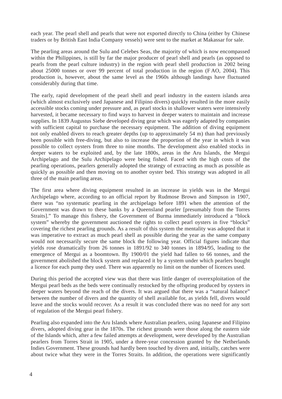each year. The pearl shell and pearls that were not exported directly to China (either by Chinese traders or by British East India Company vessels) were sent to the market at Makassar for sale.

The pearling areas around the Sulu and Celebes Seas, the majority of which is now encompassed within the Philippines, is still by far the major producer of pearl shell and pearls (as opposed to pearls from the pearl culture industry) in the region with pearl shell production in 2002 being about 25000 tonnes or over 99 percent of total production in the region (F AO, 2004). This production is, however, about the same level as the 1960s although landings have fluctuated considerably during that time.

The early, rapid development of the pearl shell and pearl industry in the eastern islands area (which almost exclusively used Japanese and Filipino divers) quickly resulted in the more easily accessible stocks coming under pressure and, as pearl stocks in shallower waters were intensively harvested, it became necessary to find ways to harvest in deeper waters to maintain and increase supplies. In 1839 Augustus Siebe developed diving gear which was eagerly adapted by companies with sufficient capital to purchase the necessary equipment. The addition of diving equipment not only enabled divers to reach greater depths (up to approximately 54 m) than had previously been possible with free-diving, but also to increase the proportion of the year in which it was possible to collect oysters from three to nine months. The development also enabled stocks in deeper waters to be exploited and, by the late 1800s, areas in the Aru Islands, the Mergui Archipelago and the Sulu Archipelago were being fished. Faced with the high costs of the pearling operations, pearlers generally adopted the strategy of extracting as much as possible as quickly as possible and then moving on to another oyster bed. This strategy was adopted in all three of the main pearling areas.

The first area where diving equipment resulted in an increase in yields was in the Mergui Archipelago where, according to an official report by Rudmose Brown and Simpson in 1907, there was "no systematic pearling in the archipelago before 1891 when the attention of the Government was drawn to these banks by a Queensland pearler [presumably from the Torres Straits]." To manage this fishery, the Government of Burma immediately introduced a "block system" whereby the government auctioned the rights to collect pearl oysters in five "blocks" covering the richest pearling grounds. As a result of this system the mentality was adopted that it was imperative to extract as much pearl shell as possible during the year as the same company would not necessarily secure the same block the following year. Official figures indicate that yields rose dramatically from 26 tonnes in 1891/92 to 340 tonnes in 1894/95, leading to the emergence of Mergui as a boomtown. By 1900/01 the yield had fallen to 66 tonnes, and the government abolished the block system and replaced it by a system under which pearlers bought a licence for each pump they used. There was apparently no limit on the number of licences used.

During this period the accepted view was that there was little danger of overexploitation of the Mergui pearl beds as the beds were continually restocked by the offspring produced by oysters in deeper waters beyond the reach of the divers. It was argued that there was a "natural balance" between the number of divers and the quantity of shell available for, as yields fell, divers would leave and the stocks would recover. As a result it was concluded there was no need for any sort of regulation of the Mergui pearl fishery.

Pearling also expanded into the Aru Islands where Australian pearlers, using Japanese and Filipino divers, adopted diving gear in the 1870s. The richest grounds were those along the eastern side of the Islands which, after a few failed attempts at development, were developed by the Australian pearlers from Torres Strait in 1905, under a three-year concession granted by the Netherlands Indies Government. These grounds had hardly been touched by divers and, initially, catches were about twice what they were in the Torres Straits. In addition, the operations were significantly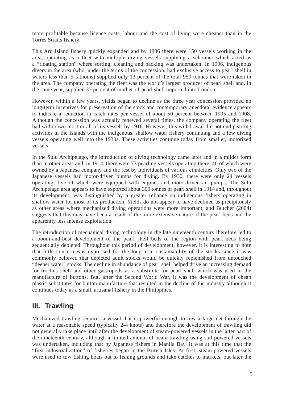more profitable because licence costs, labour and the cost of living were cheaper than in the Torres Straits fishery.

This Aru Island fishery quickly expanded and by 1906 there were 150 vessels working in the area, operating as a fleet with multiple diving vessels supplying a schooner which acted as a "floating station" where sorting, cleaning and packing was undertaken. In 1906, indigenous divers in the area (who, under the terms of the concession, had exclusive access to pearl shell in waters less than 5 fathoms) supplied only 13 percent of the total 950 tonnes that were taken in the area. The company operating the fleet was the world's largest producer of pearl shell and, in the same year, supplied 37 percent of mother-of-pearl shell imported into London.

However, within a few years, yields began to decline as the three year concession provided no long-term incentives for preservation of the stock and contemporary anecdotal evidence appears to indicate a reduction in catch rates per vessel of about 50 percent between 1905 and 1908. Although the concession was actually renewed several times, the company operating the fleet had withdrawn most or all of its vessels by 1916. However, this withdrawal did not end pearling activities in the Islands with the indigenous, shallow water fishery continuing and a few diving vessels operating well into the 1930s. These activities continue today from smaller, motorized vessels.

In the Sulu Archipelago, the introduction of diving technology came later and in a milder form than in other areas and, in 1914, there were 73 pearling vessels operating there, 40 of which were owned by a Japanese company and the rest by individuals of various ethnicities. Only two of the Japanese vessels had motor-driven pumps for diving. By 1930, there were only 24 vessels operating, five of which were equipped with engines and moto-driven air pumps. The Sulu Archipelago area appears to have exported about 300 tonnes of pearl shell in 1914 and, throughout its development, was distinguished by a greater reliance on indigenous fishers operating in shallow water for most of its production. Yields do not appear to have declined as precipitously as other areas where mechanized diving operations were more important, and Butcher (2004) suggests that this may have been a result of the more extensive nature of the pearl beds and the apparently less intense exploitation.

The introduction of mechanical diving technology in the late nineteenth century therefore led to a boom-and-bust development of the pearl shell beds of the region with pearl beds being sequentially depleted. Throughout this period of development, however, it is interesting to note that little concern was expressed for the long-term sustainability of the stocks since it was commonly believed that depleted adult stocks would be quickly replenished from untouched "deeper water" stocks. The decline in abundance of pearl shell helped drive an increasing demand for trochus shell and other gastropods as a substitute for pearl shell which was used in the manufacture of buttons. But, after the Second World War, it was the development of cheap plastic substitutes for button manufacture that resulted in the decline of the industry although it continues today as a small, artisanal fishery in the Philippines.

### **III. Trawling**

Mechanized trawling requires a vessel that is powerful enough to tow a large net through the water at a reasonable speed (typically 2-4 knots) and therefore the development of trawling did not generally take place until after the development of steam-powered vessels in the latter part of the nineteenth century, although a limited amount of beam trawling using sail-powered vessels was undertaken, including that by Japanese fishers in Manila Bay. It was at this time that the "first industrialization" of fisheries began in the British Isles. At first, steam-powered vessels were used to tow fishing boats out to fishing grounds and take catches to markets, but later the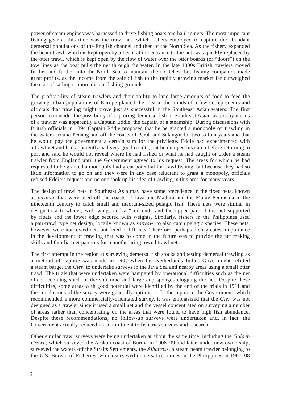power of steam engines was harnessed to drive fishing boats and haul in nets. The most important fishing gear at this time was the trawl net, which fishers employed to capture the abundant demersal populations of the English channel and then of the North Sea. As the fishery expanded the beam trawl, which is kept open by a beam at the entrance to the net, was quickly replaced by the otter trawl, which is kept open by the flow of water over the otter boards (or "doors") on the tow lines as the boat pulls the net through the water. In the late 1800s British trawlers moved further and further into the North Sea to maintain their catches, but fishing companies made great profits, as the income from the sale of fish to the rapidly growing market far outweighed the cost of sailing to more distant fishing grounds.

The profitability of steam trawlers and their ability to land large amounts of food to feed the growing urban populations of Europe planted the idea in the minds of a few entrepreneurs and officials that trawling might prove just as successful in the Southeast Asian waters. The first person to consider the possibility of capturing demersal fish in Southeast Asian waters by means of a trawler was apparently a Captain Eddie, the captain of a steamship. During discussions with British officials in 1894 Captain Eddie proposed that he be granted a monopoly on trawling in the waters around Penang and off the coasts of Perak and Selangor for two to four years and that he would pay the government a certain sum for the privilege. Eddie had experimented with a trawl net and had apparently had very good results, but he dumped his catch before returning to port and said he would not reveal where he had fished or what he had caught or order a steam trawler from England until the Government agreed to his request. The areas for which he had requested to be granted a monopoly had great potential for trawl fishing, but because they had so little information to go on and they were in any case reluctant to grant a monopoly, officials refused Eddie's request and no one took up his idea of trawling in this area for many years.

The design of trawl nets in Southeast Asia may have some precedence in the fixed nets, known as *payang*, that were used off the coasts of Java and Madura and the Malay Peninsula in the nineteenth century to catch small and medium-sized pelagic fish. These nets were similar in design to a trawl net, with wings and a "cod end" and the upper part of the net supported by floats and the lower edge secured with weights. Similarly, fishers in the Philippines used a pair-trawl type net design, locally known as *sapyaw*, to also catch pelagic species. These nets, however, were not towed nets but fixed or lift nets. Therefore, perhaps their greatest importance in the development of trawling that was to come in the future was to provide the net making skills and familiar net patterns for manufacturing towed trawl nets.

The first attempt in the region at surveying demersal fish stocks and testing demersal trawling as a method of capture was made in 1907 when the Netherlands Indies Government refitted a steam barge, the *Gier*, to undertake surveys in the Java Sea and nearby areas using a small otter trawl. The trials that were undertaken were hampered by operational difficulties such as the net often becoming stuck in the soft mud and large cup sponges clogging the net. Despite these difficulties, some areas with good potential were identified by the end of the trials in 1911 and the conclusions of the survey were generally optimistic. In the report to the Government, which recommended a more commercially-orientated survey, it was emphasized that the *Gier* was not designed as a trawler since it used a small net and the vessel concentrated on surveying a number of areas rather than concentrating on the areas that were found to have high fish abundance. Despite these recommendations, no follow-up surveys were undertaken and, in fact, the Government actually reduced its commitment to fisheries surveys and research.

Other similar trawl surveys were being undertaken at about the same time, including the *Golden Crown*, which surveyed the Arakan coast of Burma in 1908–09 and later, under new ownership, surveyed the waters off the Straits Settlements, the *Albatross*, a steam beam trawler belonging to the U.S. Bureau of Fisheries, which surveyed demersal resources in the Philippines in 1907–08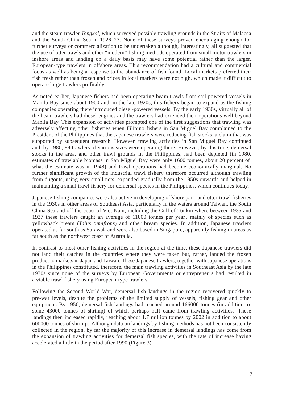and the steam trawler *Tongkol*, which surveyed possible trawling grounds in the Straits of Malacca and the South China Sea in 1926–27. None of these surveys proved encouraging enough for further surveys or commercialization to be undertaken although, interestingly, all suggested that the use of otter trawls and other "modern" fishing methods operated from small motor trawlers in inshore areas and landing on a daily basis may have some potential rather than the larger, European-type trawlers in offshore areas. This recommendation had a cultural and commercial focus as well as being a response to the abundance of fish found. Local markets preferred their fish fresh rather than frozen and prices in local markets were not high, which made it difficult to operate large trawlers profitably.

As noted earlier, Japanese fishers had been operating beam trawls from sail-powered vessels in Manila Bay since about 1900 and, in the late 1920s, this fishery began to expand as the fishing companies operating there introduced diesel-powered vessels. By the early 1930s, virtually all of the beam trawlers had diesel engines and the trawlers had extended their operations well beyond Manila Bay. This expansion of activities prompted one of the first suggestions that trawling was adversely affecting other fisheries when Filipino fishers in San Miguel Bay complained to the President of the Philippines that the Japanese trawlers were reducing fish stocks, a claim that was supported by subsequent research. However, trawling activities in San Miguel Bay continued and, by 1980, 89 trawlers of various sizes were operating there. However, by this time, demersal stocks in the area, and other trawl grounds in the Philippines, had been depleted (in 1980, estimates of trawlable biomass in San Miguel Bay were only 1600 tonnes, about 20 percent of what the estimate was in 1948) and trawl operations had become economically marginal. No further significant growth of the industrial trawl fishery therefore occurred although trawling from dugouts, using very small nets, expanded gradually from the 1950s onwards and helped in maintaining a small trawl fishery for demersal species in the Philippines, which continues today.

Japanese fishing companies were also active in developing offshore pair- and otter-trawl fisheries in the 1930s in other areas of Southeast Asia, particularly in the waters around Taiwan, the South China Sea and off the coast of Viet Nam, including the Gulf of Tonkin where between 1935 and 1937 these trawlers caught an average of 11000 tonnes per year , mainly of species such as yellowback bream (*Taius tumifrons*) and other bream species. In addition, Japanese trawlers operated as far south as Sarawak and were also based in Singapore, apparently fishing in areas as far south as the northwest coast of Australia.

In contrast to most other fishing activities in the region at the time, these Japanese trawlers did not land their catches in the countries where they were taken but, rather, landed the frozen product to markets in Japan and Taiwan. These Japanese trawlers, together with Japanese operations in the Philippines constituted, therefore, the main trawling activities in Southeast Asia by the late 1930s since none of the surveys by European Governments or entrepreneurs had resulted in a viable trawl fishery using European-type trawlers.

Following the Second World War, demersal fish landings in the region recovered quickly to pre-war levels, despite the problems of the limited supply of vessels, fishing gear and other equipment. By 1950, demersal fish landings had reached around 166000 tonnes (in addition to some 43000 tonnes of shrimp) of which perhaps half came from trawling activities. These landings then increased rapidly, reaching about 1.7 million tonnes by 2002 in addition to about 600000 tonnes of shrimp. Although data on landings by fishing methods has not been consistently collected in the region, by far the majority of this increase in demersal landings has come from the expansion of trawling activities for demersal fish species, with the rate of increase having accelerated a little in the period after 1990 (Figure 3).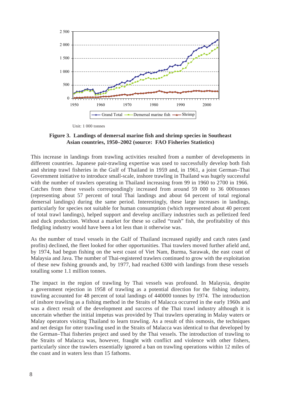

Unit: 1 000 tonnes

#### **Figure 3. Landings of demersal marine fish and shrimp species in Southeast Asian countries, 1950–2002 (source: FAO Fisheries Statistics)**

This increase in landings from trawling activities resulted from a number of developments in different countries. Japanese pair-trawling expertise was used to successfully develop both fish and shrimp trawl fisheries in the Gulf of Thailand in 1959 and, in 1961, a joint German–Thai Government initiative to introduce small-scale, inshore trawling in Thailand was hugely successful with the number of trawlers operating in Thailand increasing from 99 in 1960 to 2700 in 1966. Catches from these vessels correspondingly increased from around 59 000 to 36 000 tonnes (representing about 57 percent of total Thai landings and about 64 percent of total regional demersal landings) during the same period. Interestingly, these large increases in landings, particularly for species not suitable for human consumption (which represented about 40 percent of total trawl landings), helped support and develop ancillary industries such as pelletized feed and duck production. Without a market for these so called "trash" fish, the profitability of this fledgling industry would have been a lot less than it otherwise was.

As the number of trawl vessels in the Gulf of Thailand increased rapidly and catch rates (and profits) declined, the fleet looked for other opportunities. Thai trawlers moved further afield and, by 1974, had begun fishing on the west coast of Viet Nam, Burma, Sarawak, the east coast of Malaysia and Java. The number of Thai-registered trawlers continued to grow with the exploitation of these new fishing grounds and, by 1977, had reached 6300 with landings from these vessels totalling some 1.1 million tonnes.

The impact in the region of trawling by Thai vessels was profound. In Malaysia, despite a government rejection in 1958 of trawling as a potential direction for the fishing industry, trawling accounted for 48 percent of total landings of 440000 tonnes by 1974. The introduction of inshore trawling as a fishing method in the Straits of Malacca occurred in the early 1960s and was a direct result of the development and success of the Thai trawl industry although it is uncertain whether the initial impetus was provided by Thai trawlers operating in Malay waters or Malay operators visiting Thailand to learn trawling. As a result of this osmosis, the techniques and net design for otter trawling used in the Straits of Malacca was identical to that developed by the German–Thai fisheries project and used by the Thai vessels. The introduction of trawling to the Straits of Malacca was, however, fraught with conflict and violence with other fishers, particularly since the trawlers essentially ignored a ban on trawling operations within 12 miles of the coast and in waters less than 15 fathoms.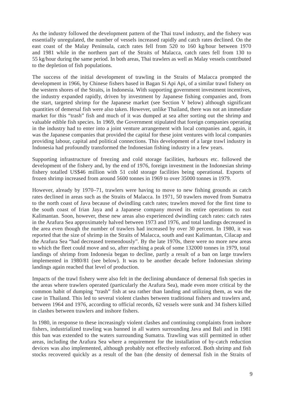As the industry followed the development pattern of the Thai trawl industry, and the fishery was essentially unregulated, the number of vessels increased rapidly and catch rates declined. On the east coast of the Malay Peninsula, catch rates fell from 520 to 160 kg/hour between 1970 and 1981 while in the northern part of the Straits of Malacca, catch rates fell from 130 to 55 kg/hour during the same period. In both areas, Thai trawlers as well as Malay vessels contributed to the depletion of fish populations.

The success of the initial development of trawling in the Straits of Malacca prompted the development in 1966, by Chinese fishers based in Bagan Si Api Api, of a similar trawl fishery on the western shores of the Straits, in Indonesia. With supporting government investment incentives, the industry expanded rapidly, driven by investment by Japanese fishing companies and, from the start, targeted shrimp for the Japanese market (see Section V below) although significant quantities of demersal fish were also taken. However, unlike Thailand, there was not an immediate market for this "trash" fish and much of it was dumped at sea after sorting out the shrimp and valuable edible fish species. In 1969, the Government stipulated that foreign companies operating in the industry had to enter into a joint venture arrangement with local companies and, again, it was the Japanese companies that provided the capital for these joint ventures with local companies providing labour, capital and political connections. This development of a large trawl industry in Indonesia had profoundly transformed the Indonesian fishing industry in a few years.

Supporting infrastructure of freezing and cold storage facilities, harbours etc. followed the development of the fishery and, by the end of 1976, foreign investment in the Indonesian shrimp fishery totalled US\$46 million with 51 cold storage facilities being operational. Exports of frozen shrimp increased from around 5600 tonnes in 1969 to over 35000 tonnes in 1979.

However, already by 1970–71, trawlers were having to move to new fishing grounds as catch rates declined in areas such as the Straits of Malacca. In 1971, 50 trawlers moved from Sumatra to the north coast of Java because of dwindling catch rates; trawlers moved for the first time to the south coast of Irian Jaya and a Japanese company moved its entire operations to east Kalimantan. Soon, however, these new areas also experienced dwindling catch rates: catch rates in the Arafura Sea approximately halved between 1973 and 1976, and total landings decreased in the area even though the number of trawlers had increased by over 30 percent. In 1980, it was reported that the size of shrimp in the Straits of Malacca, south and east Kalimantan, Cilacap and the Arafura Sea "had decreased tremendously". By the late 1970s, there were no more new areas to which the fleet could move and so, after reaching a peak of some 132000 tonnes in 1979, total landings of shrimp from Indonesia began to decline, partly a result of a ban on large trawlers implemented in 1980/81 (see below). It was to be another decade before Indonesian shrimp landings again reached that level of production.

Impacts of the trawl fishery were also felt in the declining abundance of demersal fish species in the areas where trawlers operated (particularly the Arafura Sea), made even more critical by the common habit of dumping "trash" fish at sea rather than landing and utilizing them, as was the case in Thailand. This led to several violent clashes between traditional fishers and trawlers and, between 1964 and 1976, according to official records, 62 vessels were sunk and 34 fishers killed in clashes between trawlers and inshore fishers.

In 1980, in response to these increasingly violent clashes and continuing complaints from inshore fishers, industrialized trawling was banned in all waters surrounding Java and Bali and in 1981 this ban was extended to the waters surrounding Sumatra. Trawling was still permitted in other areas, including the Arafura Sea where a requirement for the installation of by-catch reduction devices was also implemented, although probably not effectively enforced. Both shrimp and fish stocks recovered quickly as a result of the ban (the density of demersal fish in the Straits of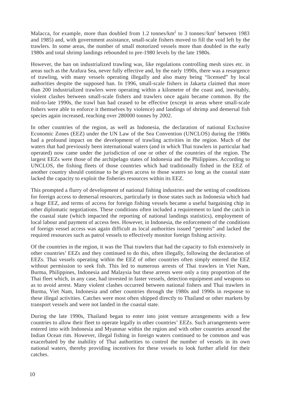Malacca, for example, more than doubled from 1.2 tonnes/ $km^2$  to 3 tonnes// $km^2$  between 1983 and 1985) and, with government assistance, small-scale fishers moved to fill the void left by the trawlers. In some areas, the number of small motorized vessels more than doubled in the early 1980s and total shrimp landings rebounded to pre-1980 levels by the late 1980s.

However, the ban on industrialized trawling was, like regulations controlling mesh sizes etc. in areas such as the Arafura Sea, never fully effective and, by the early 1990s, there was a resurgence of trawling, with many vessels operating illegally and also many being "licensed" by local authorities despite the supposed ban. In 1996, small-scale fishers in Jakarta claimed that more than 200 industrialized trawlers were operating within a kilometre of the coast and, inevitably, violent clashes between small-scale fishers and trawlers once again became common. By the mid-to-late 1990s, the trawl ban had ceased to be effective (except in areas where small-scale fishers were able to enforce it themselves by violence) and landings of shrimp and demersal fish species again increased, reaching over 280000 tonnes by 2002.

In other countries of the region, as well as Indonesia, the declaration of national Exclusive Economic Zones (EEZ) under the UN Law of the Sea Convention (UNCLOS) during the 1980s had a profound impact on the development of trawling activities in the region. Much of the waters that had previously been international waters (and in which Thai trawlers in particular had operated) now came under the jurisdiction of one or other of the countries of the region. The largest EEZs were those of the archipelago states of Indonesia and the Philippines. According to UNCLOS, the fishing fleets of those countries which had traditionally fished in the EEZ of another country should continue to be given access to those waters so long as the coastal state lacked the capacity to exploit the fisheries resources within its EEZ.

This prompted a flurry of development of national fishing industries and the setting of conditions for foreign access to demersal resources, particularly in those states such as Indonesia which had a huge EEZ, and terms of access for foreign fishing vessels became a useful bargaining chip in other diplomatic negotiations. These conditions often included a requirement to land the catch in the coastal state (which impacted the reporting of national landings statistics), employment of local labour and payment of access fees. However, in Indonesia, the enforcement of the conditions of foreign vessel access was again difficult as local authorities issued "permits" and lacked the required resources such as patrol vessels to effectively monitor foreign fishing activity.

Of the countries in the region, it was the Thai trawlers that had the capacity to fish extensively in other countries' EEZs and they continued to do this, often illegally, following the declaration of EEZs. Thai vessels operating within the EEZ of other countries often simply entered the EEZ without permission to seek fish. This led to numerous arrests of Thai trawlers in Viet Nam, Burma, Philippines, Indonesia and Malaysia but these arrests were only a tiny proportion of the Thai fleet which, in any case, had invested in faster vessels, detection equipment and weapons so as to avoid arrest. Many violent clashes occurred between national fishers and Thai trawlers in Burma, Viet Nam, Indonesia and other countries through the 1980s and 1990s in response to these illegal activities. Catches were most often shipped directly to Thailand or other markets by transport vessels and were not landed in the coastal state.

During the late 1990s, Thailand began to enter into joint venture arrangements with a few countries to allow their fleet to operate legally in other countries' EEZs. Such arrangements were entered into with Indonesia and Myanmar within the region and with other countries around the Indian Ocean rim. However, illegal fishing in foreign waters continued to be common and was exacerbated by the inability of Thai authorities to control the number of vessels in its own national waters, thereby providing incentives for these vessels to look further afield for their catches.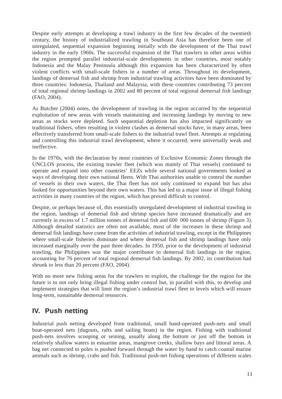Despite early attempts at developing a trawl industry in the first few decades of the twentieth century, the history of industrialized trawling in Southeast Asia has therefore been one of unregulated, sequential expansion beginning initially with the development of the Thai trawl industry in the early 1960s. The successful expansion of the Thai trawlers to other areas within the region prompted parallel industrial-scale developments in other countries, most notably Indonesia and the Malay Peninsula although this expansion has been characterized by often violent conflicts with small-scale fishers in a number of areas. Throughout its development, landings of demersal fish and shrimp from industrial trawling activities have been dominated by three countries: Indonesia, Thailand and Malaysia, with these countries contributing 73 percent of total regional shrimp landings in 2002 and 80 percent of total regional demersal fish landings (FAO, 2004).

As Butcher (2004) notes, the development of trawling in the region occurred by the sequential exploitation of new areas with vessels maintaining and increasing landings by moving to new areas as stocks were depleted. Such sequential depletion has also impacted significantly on traditional fishers, often resulting in violent clashes as demersal stocks have, in many areas, been effectively transferred from small-scale fishers to the industrial trawl fleet. Attempts at regulating and controlling this industrial trawl development, where it occurred, were universally weak and ineffective.

In the 1970s, with the declaration by most countries of Exclusive Economic Zones through the UNCLOS process, the existing trawler fleet (which was mainly of Thai vessels) continued to operate and expand into other countries' EEZs while several national governments looked at ways of developing their own national fleets. With Thai authorities unable to control the number of vessels in their own waters, the Thai fleet has not only continued to expand but has also looked for opportunities beyond their own waters. This has led to a major issue of illegal fishing activities in many countries of the region, which has proved difficult to control.

Despite, or perhaps because of, this essentially unregulated development of industrial trawling in the region, landings of demersal fish and shrimp species have increased dramatically and are currently in excess of 1.7 million tonnes of demersal fish and 600 000 tonnes of shrimp (Figure 3). Although detailed statistics are often not available, most of the increases in these shrimp and demersal fish landings have come from the activities of industrial trawling, except in the Philippines where small-scale fisheries dominate and where demersal fish and shrimp landings have only increased marginally over the past three decades. In 1950, prior to the development of industrial trawling, the Philippines was the major contributor to demersal fish landings in the region, accounting for 76 percent of total regional demersal fish landings. By 2002, its contribution had shrunk to less than 20 percent (FAO, 2004).

With no more new fishing areas for the trawlers to exploit, the challenge for the region for the future is to not only bring illegal fishing under control but, in parallel with this, to develop and implement strategies that will limit the region's industrial trawl fleet to levels which will ensure long-term, sustainable demersal resources.

### **IV. Push netting**

Industrial push netting developed from traditional, small hand-operated push-nets and small boat-operated nets (dugouts, rafts and sailing boats) in the region. Fishing with traditional push-nets involves scooping or seining, usually along the bottom or just off the bottom in relatively shallow waters in estuarine areas, mangrove creeks, shallow bays and littoral areas. A bag net connected to poles is pushed forward through the water by hand to catch coastal marine animals such as shrimp, crabs and fish. Traditional push-net fishing operations of different scales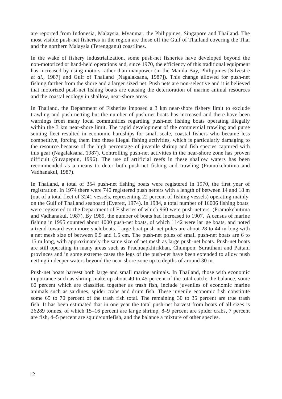are reported from Indonesia, Malaysia, Myanmar, the Philippines, Singapore and Thailand. The most visible push-net fisheries in the region are those off the Gulf of Thailand covering the Thai and the northern Malaysia (Terengganu) coastlines.

In the wake of fishery industrialization, some push-net fisheries have developed beyond the non-motorized or hand-held operations and, since 1970, the efficiency of this traditional equipment has increased by using motors rather than manpower (in the Manila Bay, Philippines [Silvestre *et al.*, 1987] and Gulf of Thailand [Nagalaksana, 1987]). This change allowed for push-net fishing farther from the shore and a larger sized net. Push nets are non-selective and it is believed that motorized push-net fishing boats are causing the deterioration of marine animal resources and the coastal ecology in shallow, near-shore areas.

In Thailand, the Department of Fisheries imposed a 3 km near-shore fishery limit to exclude trawling and push netting but the number of push-net boats has increased and there have been warnings from many local communities regarding push-net fishing boats operating illegally within the 3 km near-shore limit. The rapid development of the commercial trawling and purse seining fleet resulted in economic hardships for small-scale, coastal fishers who became less competitive, forcing them into these illegal fishing activities, which is particularly damaging to the resource because of the high percentage of juvenile shrimp and fish species captured with this gear (Nagalaksana, 1987). Controlling push-net activities in the near-shore zone has proven difficult (Suvapepun, 1996). The use of artificial reefs in these shallow waters has been recommended as a means to deter both push-net fishing and trawling (Pramokchutima and Vadhanakul, 1987).

In Thailand, a total of 354 push-net fishing boats were registered in 1970, the first year of registration. In 1974 there were 740 registered push netters with a length of between 14 and 18 m (out of a total fleet of 3241 vessels, representing 22 percent of fishing vessels) operating mainly on the Gulf of Thailand seaboard (Everett, 1974). In 1984, a total number of 16006 fishing boats were registered to the Department of Fisheries of which 960 were push netters. (Pramokchutima and Vadhanakul, 1987). By 1989, the number of boats had increased to 1907. A census of marine fishing in 1995 counted about 4000 push-net boats, of which 1142 were lar ge boats, and noted a trend toward even more such boats. Large boat push-net poles are about 28 to 44 m long with a net mesh size of between 0.5 and 1.5 cm. The push-net poles of small push-net boats are 6 to 15 m long, with approximately the same size of net mesh as large push-net boats. Push-net boats are still operating in many areas such as Prachuapkhirikhan, Chumpon, Suratthani and Pattani provinces and in some extreme cases the legs of the push-net have been extended to allow push netting in deeper waters beyond the near-shore zone up to depths of around 30 m.

Push-net boats harvest both large and small marine animals. In Thailand, those with economic importance such as shrimp make up about 40 to 45 percent of the total catch; the balance, some 60 percent which are classified together as trash fish, include juveniles of economic marine animals such as sardines, spider crabs and drum fish. These juvenile economic fish constitute some 65 to 70 percent of the trash fish total. The remaining 30 to 35 percent are true trash fish. It has been estimated that in one year the total push-net harvest from boats of all sizes is 26289 tonnes, of which 15–16 percent are lar ge shrimp, 8–9 percent are spider crabs, 7 percent are fish, 4–5 percent are squid/cuttlefish, and the balance a mixture of other species.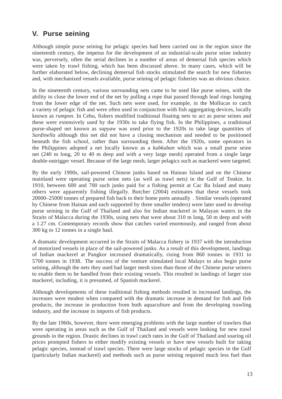### **V. Purse seining**

Although simple purse seining for pelagic species had been carried out in the region since the nineteenth century, the impetus for the development of an industrial-scale purse seine industry was, perversely, often the serial declines in a number of areas of demersal fish species which were taken by trawl fishing, which has been discussed above. In many cases, which will be further elaborated below, declining demersal fish stocks stimulated the search for new fisheries and, with mechanized vessels available, purse seining of pelagic fisheries was an obvious choice.

In the nineteenth century, various surrounding nets came to be used like purse seines, with the ability to close the lower end of the net by pulling a rope that passed through lead rings hanging from the lower edge of the net. Such nets were used, for example, in the Mollucas to catch a variety of pelagic fish and were often used in conjunction with fish aggregating devices, locally known as *rumpon*. In Cebu, fishers modified traditional floating nets to act as purse seines and these were extensively used by the 1930s to take flying fish. In the Philippines, a traditional purse-shaped net known as *sapyaw* was used prior to the 1920s to take large quantities of *Sardinella* although this net did not have a closing mechanism and needed to be positioned beneath the fish school, rather than surrounding them. After the 1920s, some operators in the Philippines adopted a net locally known as a *kubkuban* which was a small purse seine net (240 m long, 20 to 40 m deep and with a very large mesh) operated from a single large double-outrigger vessel. Because of the large mesh, larger pelagics such as mackerel were targeted.

By the early 1900s, sail-powered Chinese junks based on Hainan Island and on the Chinese mainland were operating purse seine nets (as well as trawl nets) in the Gulf of Tonkin. In 1910, between 600 and 700 such junks paid for a fishing permit at Cac Ba Island and many others were apparently fishing illegally. Butcher (2004) estimates that these vessels took 20000–25000 tonnes of prepared fish back to their home ports annually . Similar vessels (operated by Chinese from Hainan and each supported by three smaller tenders) were later used to develop purse seining in the Gulf of Thailand and also for Indian mackerel in Malayan waters in the Straits of Malacca during the 1930s, using nets that were about 310 m long, 50 m deep and with a 1.27 cm. Contemporary records show that catches varied enormously, and ranged from about 300 kg to 12 tonnes in a single haul.

A dramatic development occurred in the Straits of Malacca fishery in 1937 with the introduction of motorized vessels in place of the sail-powered junks. As a result of this development, landings of Indian mackerel at Pangkor increased dramatically, rising from 860 tonnes in 1931 to 5700 tonnes in 1938. The success of the venture stimulated local Malays to also begin purse seining, although the nets they used had larger mesh sizes than those of the Chinese purse seiners to enable them to be handled from their existing vessels. This resulted in landings of larger size mackerel, including, it is presumed, of Spanish mackerel.

Although developments of these traditional fishing methods resulted in increased landings, the increases were modest when compared with the dramatic increase in demand for fish and fish products, the increase in production from both aquaculture and from the developing trawling industry, and the increase in imports of fish products.

By the late 1960s, however, there were emerging problems with the large number of trawlers that were operating in areas such as the Gulf of Thailand and vessels were looking for new trawl grounds in the region. Drastic declines in trawl catch rates in the Gulf of Thailand and soaring oil prices prompted fishers to either modify existing vessels or have new vessels built for taking pelagic species, instead of trawl species. There were large stocks of pelagic species in the Gulf (particularly Indian mackerel) and methods such as purse seining required much less fuel than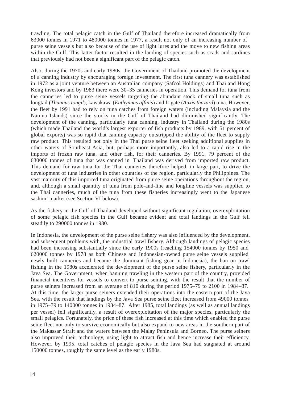trawling. The total pelagic catch in the Gulf of Thailand therefore increased dramatically from 63000 tonnes in 1971 to 480000 tonnes in 1977, a result not only of an increasing number of purse seine vessels but also because of the use of light lures and the move to new fishing areas within the Gulf. This latter factor resulted in the landing of species such as scads and sardines that previously had not been a significant part of the pelagic catch.

Also, during the 1970s and early 1980s, the Government of Thailand promoted the development of a canning industry by encouraging foreign investment. The first tuna cannery was established in 1972 as a joint venture between an Australian company (Safcol Holdings) and Thai and Hong Kong investors and by 1983 there were 30–35 canneries in operation. This demand for tuna from the canneries led to purse seine vessels targeting the abundant stock of small tuna such as longtail (*Thunnus tongil*), kawakawa (*Euthynnus affinis*) and frigate (*Auxis thazard*) tuna. However, the fleet by 1991 had to rely on tuna catches from foreign waters (including Malaysia and the Natuna Islands) since the stocks in the Gulf of Thailand had diminished significantly. The development of the canning, particularly tuna canning, industry in Thailand during the 1980s (which made Thailand the world's largest exporter of fish products by 1989, with 51 percent of global exports) was so rapid that canning capacity outstripped the ability of the fleet to supply raw product. This resulted not only in the Thai purse seine fleet seeking additional supplies in other waters of Southeast Asia, but, perhaps more importantly, also led to a rapid rise in the imports of frozen raw tuna, and other fish, for their canneries. By 1991, 79 percent of the 630000 tonnes of tuna that was canned in Thailand was derived from imported raw product. This demand for raw tuna for the Thai canneries therefore helped, in large part, to drive the development of tuna industries in other countries of the region, particularly the Philippines. The vast majority of this imported tuna originated from purse seine operations throughout the region, and, although a small quantity of tuna from pole-and-line and longline vessels was supplied to the Thai canneries, much of the tuna from these fisheries increasingly went to the Japanese sashimi market (see Section VI below).

As the fishery in the Gulf of Thailand developed without significant regulation, overexploitation of some pelagic fish species in the Gulf became evident and total landings in the Gulf fell steadily to 290000 tonnes in 1980.

In Indonesia, the development of the purse seine fishery was also influenced by the development, and subsequent problems with, the industrial trawl fishery. Although landings of pelagic species had been increasing substantially since the early 1900s (reaching 154000 tonnes by 1950 and 620000 tonnes by 1978 as both Chinese and Indonesian-owned purse seine vessels supplied newly built canneries and became the dominant fishing gear in Indonesia), the ban on trawl fishing in the 1980s accelerated the development of the purse seine fishery, particularly in the Java Sea. The Government, when banning trawling in the western part of the country, provided financial incentives for vessels to convert to purse seining, with the result that the number of purse seiners increased from an average of 810 during the period 1975–79 to 2100 in 1984–87. At this time, the larger purse seiners extended their operations into the eastern part of the Java Sea, with the result that landings by the Java Sea purse seine fleet increased from 49000 tonnes in 1975–79 to 140000 tonnes in 1984–87. After 1985, total landings (as well as annual landings per vessel) fell significantly, a result of overexploitation of the major species, particularly the small pelagics. Fortunately, the price of these fish increased at this time which enabled the purse seine fleet not only to survive economically but also expand to new areas in the southern part of the Makassar Strait and the waters between the Malay Peninsula and Borneo. The purse seiners also improved their technology, using light to attract fish and hence increase their efficiency. However, by 1995, total catches of pelagic species in the Java Sea had stagnated at around 150000 tonnes, roughly the same level as the early 1980s.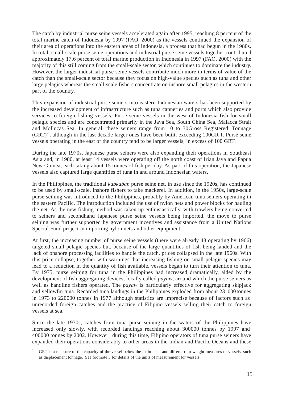The catch by industrial purse seine vessels accelerated again after 1995, reaching 8 percent of the total marine catch of Indonesia by 1997 (FAO, 2000) as the vessels continued the expansion of their area of operations into the eastern areas of Indonesia, a process that had begun in the 1980s. In total, small-scale purse seine operations and industrial purse seine vessels together contributed approximately 17.6 percent of total marine production in Indonesia in 1997 (FAO, 2000) with the majority of this still coming from the small-scale sector, which continues to dominate the industry. However, the larger industrial purse seine vessels contribute much more in terms of value of the catch than the small-scale sector because they focus on high-value species such as tuna and other large pelagics whereas the small-scale fishers concentrate on inshore small pelagics in the western part of the country.

This expansion of industrial purse seiners into eastern Indonesian waters has been supported by the increased development of infrastructure such as tuna canneries and ports which also provide services to foreign fishing vessels. Purse seine vessels in the west of Indonesia fish for small pelagic species and are concentrated primarily in the Java Sea, South China Sea, Malacca Strait and Mollucas Sea. In general, these seiners range from 10 to 30Gross Registered Tonnage  $(GRT)^2$ , although in the last decade larger ones have been built, exceeding 100GR T. Purse seine vessels operating in the east of the country tend to be larger vessels, in excess of 100 GRT.

During the late 1970s, Japanese purse seiners were also expanding their operations in Southeast Asia and, in 1980, at least 14 vessels were operating off the north coast of Irian Jaya and Papua New Guinea, each taking about 15 tonnes of fish per day. As part of this operation, the Japanese vessels also captured large quantities of tuna in and around Indonesian waters.

In the Philippines, the traditional *kubkuban* purse seine net, in use since the 1920s, has continued to be used by small-scale, inshore fishers to take mackerel. In addition, in the 1950s, large-scale purse seining was introduced to the Philippines, probably by American tuna seiners operating in the eastern Pacific. The introduction included the use of nylon nets and power blocks for hauling the net. As the new fishing method was taken up enthusiastically, with trawlers being converted to seiners and secondhand Japanese purse seine vessels being imported, the move to purse seining was further supported by government incentives and assistance from a United Nations Special Fund project in importing nylon nets and other equipment.

At first, the increasing number of purse seine vessels (there were already 48 operating by 1966) targeted small pelagic species but, because of the large quantities of fish being landed and the lack of onshore processing facilities to handle the catch, prices collapsed in the late 1960s. With this price collapse, together with warnings that increasing fishing on small pelagic species may lead to a reduction in the quantity of fish available, vessels began to turn their attention to tuna. By 1975, purse seining for tuna in the Philippines had increased dramatically, aided by the development of fish aggregating devices, locally called *payaw*, around which the purse seiners as well as handline fishers operated. The *payaw* is particularly effective for aggregating skipjack and yellowfin tuna. Recorded tuna landings in the Philippines exploded from about 23 000 tonnes in 1973 to 220000 tonnes in 1977 although statistics are imprecise because of factors such as unrecorded foreign catches and the practice of Filipino vessels selling their catch to foreign vessels at sea.

Since the late 1970s, catches from tuna purse seining in the waters of the Philippines have increased only slowly, with recorded landings reaching about 300000 tonnes by 1997 and 400000 tonnes by 2002. However , during this time, Filipino operators of tuna purse seiners have expanded their operations considerably to other areas in the Indian and Pacific Oceans and these

GRT is a measure of the capacity of the vessel below the main deck and differs from weight measures of vessels, such as displacement tonnage. See footnote 3 for details of the units of measurement for vessels.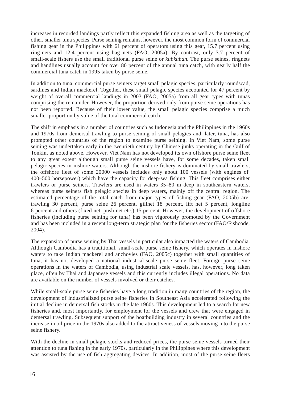increases in recorded landings partly reflect this expanded fishing area as well as the targeting of other, smaller tuna species. Purse seining remains, however, the most common form of commercial fishing gear in the Philippines with 61 percent of operators using this gear, 15.7 percent using ring-nets and 12.4 percent using bag nets (FAO, 2005a). By contrast, only 3.7 percent of small-scale fishers use the small traditional purse seine or *kubkuban.* The purse seines, ringnets and handlines usually account for over 80 percent of the annual tuna catch, with nearly half the commercial tuna catch in 1995 taken by purse seine.

In addition to tuna, commercial purse seiners target small pelagic species, particularly roundscad, sardines and Indian mackerel. Together, these small pelagic species accounted for 47 percent by weight of overall commercial landings in 2003 (FAO, 2005a) from all gear types with tunas comprising the remainder. However, the proportion derived only from purse seine operations has not been reported. Because of their lower value, the small pelagic species comprise a much smaller proportion by value of the total commercial catch.

The shift in emphasis in a number of countries such as Indonesia and the Philippines in the 1960s and 1970s from demersal trawling to purse seining of small pelagics and, later, tuna, has also prompted other countries of the region to examine purse seining. In Viet Nam, some purse seining was undertaken early in the twentieth century by Chinese junks operating in the Gulf of Tonkin, as noted above. However, Viet Nam has not developed its own offshore purse seine fleet to any great extent although small purse seine vessels have, for some decades, taken small pelagic species in inshore waters. Although the inshore fishery is dominated by small trawlers, the offshore fleet of some 20000 vessels includes only about 100 vessels (with engines of 400–500 horsepower) which have the capacity for deep-sea fishing. This fleet comprises either trawlers or purse seiners. Trawlers are used in waters 35–80 m deep in southeastern waters, whereas purse seiners fish pelagic species in deep waters, mainly off the central region. The estimated percentage of the total catch from major types of fishing gear (FAO, 2005b) are; trawling 30 percent, purse seine 26 percent, gillnet 18 percent, lift net 5 percent, longline 6 percent and others (fixed net, push-net etc.) 15 percent. However, the development of offshore fisheries (including purse seining for tuna) has been vigorously promoted by the Government and has been included in a recent long-term strategic plan for the fisheries sector (FAO/Fishcode, 2004).

The expansion of purse seining by Thai vessels in particular also impacted the waters of Cambodia. Although Cambodia has a traditional, small-scale purse seine fishery, which operates in inshore waters to take Indian mackerel and anchovies (FAO, 2005c) together with small quantities of tuna, it has not developed a national industrial-scale purse seine fleet. Foreign purse seine operations in the waters of Cambodia, using industrial scale vessels, has, however, long taken place, often by Thai and Japanese vessels and this currently includes illegal operations. No data are available on the number of vessels involved or their catches.

While small-scale purse seine fisheries have a long tradition in many countries of the region, the development of industrialized purse seine fisheries in Southeast Asia accelerated following the initial decline in demersal fish stocks in the late 1960s. This development led to a search for new fisheries and, most importantly, for employment for the vessels and crew that were engaged in demersal trawling. Subsequent support of the boatbuilding industry in several countries and the increase in oil price in the 1970s also added to the attractiveness of vessels moving into the purse seine fishery.

With the decline in small pelagic stocks and reduced prices, the purse seine vessels turned their attention to tuna fishing in the early 1970s, particularly in the Philippines where this development was assisted by the use of fish aggregating devices. In addition, most of the purse seine fleets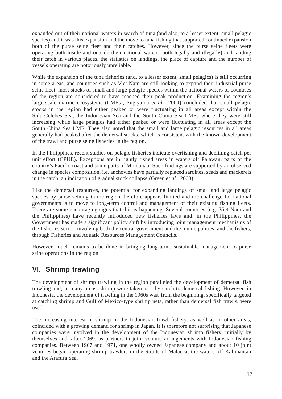expanded out of their national waters in search of tuna (and also, to a lesser extent, small pelagic species) and it was this expansion and the move to tuna fishing that supported continued expansion both of the purse seine fleet and their catches. However, since the purse seine fleets were operating both inside and outside their national waters (both legally and illegally) and landing their catch in various places, the statistics on landings, the place of capture and the number of vessels operating are notoriously unreliable.

While the expansion of the tuna fisheries (and, to a lesser extent, small pelagics) is still occurring in some areas, and countries such as Viet Nam are still looking to expand their industrial purse seine fleet, most stocks of small and large pelagic species within the national waters of countries of the region are considered to have reached their peak production. Examining the region's large-scale marine ecosystems (LMEs), Sugiyama *et al.* (2004) concluded that small pelagic stocks in the region had either peaked or were fluctuating in all areas except within the Sulu-Celebes Sea, the Indonesian Sea and the South China Sea LMEs where they were still increasing while large pelagics had either peaked or were fluctuating in all areas except the South China Sea LME. They also noted that the small and large pelagic resources in all areas generally had peaked after the demersal stocks, which is consistent with the known development of the trawl and purse seine fisheries in the region.

In the Philippines, recent studies on pelagic fisheries indicate overfishing and declining catch per unit effort (CPUE). Exceptions are in lightly fished areas in waters off Palawan, parts of the country's Pacific coast and some parts of Mindanao. Such findings are supported by an observed change in species composition, i.e. anchovies have partially replaced sardines, scads and mackerels in the catch, an indication of gradual stock collapse (Green *et al.,* 2003).

Like the demersal resources, the potential for expanding landings of small and large pelagic species by purse seining in the region therefore appears limited and the challenge for national governments is to move to long-term control and management of their existing fishing fleets. There are some encouraging signs that this is happening. Several countries (e.g. Viet Nam and the Philippines) have recently introduced new fisheries laws and, in the Philippines, the Government has made a significant policy shift by introducing joint management mechanisms of the fisheries sector, involving both the central government and the municipalities, and the fishers, through Fisheries and Aquatic Resources Management Councils.

However, much remains to be done in bringing long-term, sustainable management to purse seine operations in the region.

### **VI. Shrimp trawling**

The development of shrimp trawling in the region paralleled the development of demersal fish trawling and, in many areas, shrimp were taken as a by-catch to demersal fishing. However, in Indonesia, the development of trawling in the 1960s was, from the beginning, specifically targeted at catching shrimp and Gulf of Mexico-type shrimp nets, rather than demersal fish trawls, were used.

The increasing interest in shrimp in the Indonesian trawl fishery, as well as in other areas, coincided with a growing demand for shrimp in Japan. It is therefore not surprising that Japanese companies were involved in the development of the Indonesian shrimp fishery, initially by themselves and, after 1969, as partners in joint venture arrangements with Indonesian fishing companies. Between 1967 and 1971, one wholly owned Japanese company and about 10 joint ventures began operating shrimp trawlers in the Straits of Malacca, the waters off Kalimantan and the Arafura Sea.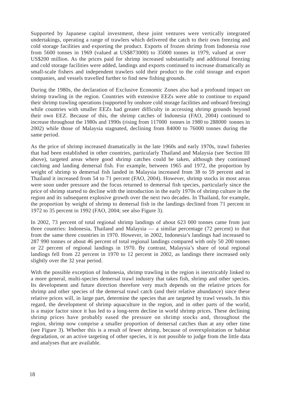Supported by Japanese capital investment, these joint ventures were vertically integrated undertakings, operating a range of trawlers which delivered the catch to their own freezing and cold storage facilities and exporting the product. Exports of frozen shrimp from Indonesia rose from 5600 tonnes in 1969 (valued at US\$873000) to 35000 tonnes in 1979, valued at over US\$200 million. As the prices paid for shrimp increased substantially and additional freezing and cold storage facilities were added, landings and exports continued to increase dramatically as small-scale fishers and independent trawlers sold their product to the cold storage and export companies, and vessels travelled further to find new fishing grounds.

During the 1980s, the declaration of Exclusive Economic Zones also had a profound impact on shrimp trawling in the region. Countries with extensive EEZs were able to continue to expand their shrimp trawling operations (supported by onshore cold storage facilities and onboard freezing) while countries with smaller EEZs had greater difficulty in accessing shrimp grounds beyond their own EEZ. Because of this, the shrimp catches of Indonesia (FAO, 2004) continued to increase throughout the 1980s and 1990s (rising from 117000 tonnes in 1980 to 288000 tonnes in 2002) while those of Malaysia stagnated, declining from 84000 to 76000 tonnes during the same period.

As the price of shrimp increased dramatically in the late 1960s and early 1970s, trawl fisheries that had been established in other countries, particularly Thailand and Malaysia (see Section III above), targeted areas where good shrimp catches could be taken, although they continued catching and landing demersal fish. For example, between 1965 and 1972, the proportion by weight of shrimp to demersal fish landed in Malaysia increased from 38 to 59 percent and in Thailand it increased from 54 to 71 percent (FAO, 2004). However, shrimp stocks in most areas were soon under pressure and the focus returned to demersal fish species, particularly since the price of shrimp started to decline with the introduction in the early 1970s of shrimp culture in the region and its subsequent explosive growth over the next two decades. In Thailand, for example, the proportion by weight of shrimp to demersal fish in the landings declined from 71 percent in 1972 to 35 percent in 1992 (FAO, 2004; see also Figure 3).

In 2002, 73 percent of total regional shrimp landings of about 623 000 tonnes came from just three countries: Indonesia, Thailand and Malaysia — a similar percentage (72 percent) to that from the same three countries in 1970. However, in 2002, Indonesia's landings had increased to 287 990 tonnes or about 46 percent of total regional landings compared with only 50 200 tonnes or 22 percent of regional landings in 1970. By contrast, Malaysia's share of total regional landings fell from 22 percent in 1970 to 12 percent in 2002, as landings there increased only slightly over the 32 year period.

With the possible exception of Indonesia, shrimp trawling in the region is inextricably linked to a more general, multi-species demersal trawl industry that takes fish, shrimp and other species. Its development and future direction therefore very much depends on the relative prices for shrimp and other species of the demersal trawl catch (and their relative abundance) since these relative prices will, in large part, determine the species that are targeted by trawl vessels. In this regard, the development of shrimp aquaculture in the region, and in other parts of the world, is a major factor since it has led to a long-term decline in world shrimp prices. These declining shrimp prices have probably eased the pressure on shrimp stocks and, throughout the region, shrimp now comprise a smaller proportion of demersal catches than at any other time (see Figure 3). Whether this is a result of fewer shrimp, because of overexploitation or habitat degradation, or an active targeting of other species, it is not possible to judge from the little data and analyses that are available.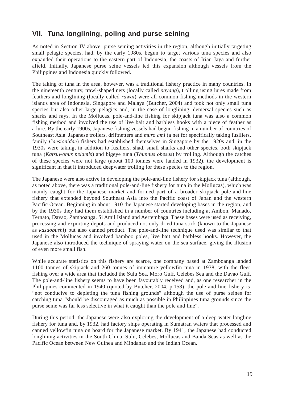### **VII. Tuna longlining, poling and purse seining**

As noted in Section IV above, purse seining activities in the region, although initially targeting small pelagic species, had, by the early 1980s, begun to target various tuna species and also expanded their operations to the eastern part of Indonesia, the coasts of Irian Jaya and further afield. Initially, Japanese purse seine vessels led this expansion although vessels from the Philippines and Indonesia quickly followed.

The taking of tuna in the area, however, was a traditional fishery practice in many countries. In the nineteenth century, trawl-shaped nets (locally called *payang*), trolling using lures made from feathers and longlining (locally called *rawai*) were all common fishing methods in the western islands area of Indonesia, Singapore and Malaya (Butcher, 2004) and took not only small tuna species but also other large pelagics and, in the case of longlining, demersal species such as sharks and rays. In the Mollucas, pole-and-line fishing for skipjack tuna was also a common fishing method and involved the use of live bait and barbless hooks with a piece of feather as a lure. By the early 1900s, Japanese fishing vessels had begun fishing in a number of countries of Southeast Asia. Japanese trollers, driftnetters and *muro ami* (a net for specifically taking fusiliers, family *Caesionidae*) fishers had established themselves in Singapore by the 1920s and, in the 1930s were taking, in addition to fusiliers, shad, small sharks and other species, both skipjack tuna (*Katsuwonus pelamis*) and bigeye tuna (*Thunnus obesus*) by trolling. Although the catches of these species were not large (about 100 tonnes were landed in 1932), the development is significant in that it introduced deepwater trolling for these species to the region.

The Japanese were also active in developing the pole-and-line fishery for skipjack tuna (although, as noted above, there was a traditional pole-and-line fishery for tuna in the Mollucas), which was mainly caught for the Japanese market and formed part of a broader skipjack pole-and-line fishery that extended beyond Southeast Asia into the Pacific coast of Japan and the western Pacific Ocean. Beginning in about 1910 the Japanese started developing bases in the region, and by the 1930s they had them established in a number of countries including at Ambon, Manado, Ternato, Davao, Zamboanga, Si Amil Island and Aertembaga. These bases were used as receiving, processing and exporting depots and produced not only dried tuna stick (known to the Japanese as *kasuobushi*) but also canned product. The pole-and-line technique used was similar to that used in the Mollucas and involved bamboo poles, live bait and barbless hooks. However, the Japanese also introduced the technique of spraying water on the sea surface, giving the illusion of even more small fish.

While accurate statistics on this fishery are scarce, one company based at Zamboanga landed 1100 tonnes of skipjack and 260 tonnes of immature yellowfin tuna in 1938, with the fleet fishing over a wide area that included the Sulu Sea, Moro Gulf, Celebes Sea and the Davao Gulf. The pole-and-line fishery seems to have been favourably received and, as one researcher in the Philippines commented in 1940 (quoted by Butcher, 2004, p.158), the pole-and-line fishery is "not conducive to depleting the tuna fishing grounds" although the use of purse seines for catching tuna "should be discouraged as much as possible in Philippines tuna grounds since the purse seine was far less selective in what it caught than the pole and line".

During this period, the Japanese were also exploring the development of a deep water longline fishery for tuna and, by 1932, had factory ships operating in Sumatran waters that processed and canned yellowfin tuna on board for the Japanese market. By 1941, the Japanese had conducted longlining activities in the South China, Sulu, Celebes, Mollucas and Banda Seas as well as the Pacific Ocean between New Guinea and Mindanao and the Indian Ocean.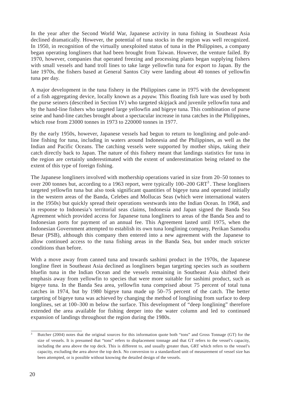In the year after the Second World War, Japanese activity in tuna fishing in Southeast Asia declined dramatically. However, the potential of tuna stocks in the region was well recognized. In 1950, in recognition of the virtually unexploited status of tuna in the Philippines, a company began operating longliners that had been brought from Taiwan. However, the venture failed. By 1970, however, companies that operated freezing and processing plants began supplying fishers with small vessels and hand troll lines to take large yellowfin tuna for export to Japan. By the late 1970s, the fishers based at General Santos City were landing about 40 tonnes of yellowfin tuna per day.

A major development in the tuna fishery in the Philippines came in 1975 with the development of a fish aggregating device, locally known as a *payaw.* This floating fish lure was used by both the purse seiners (described in Section IV) who targeted skipjack and juvenile yellowfin tuna and by the hand-line fishers who targeted large yellowfin and bigeye tuna. This combination of purse seine and hand-line catches brought about a spectacular increase in tuna catches in the Philippines, which rose from 23000 tonnes in 1973 to 220000 tonnes in 1977.

By the early 1950s, however, Japanese vessels had begun to return to longlining and pole-andline fishing for tuna, including in waters around Indonesia and the Philippines, as well as the Indian and Pacific Oceans. The catching vessels were supported by mother ships, taking their catch directly back to Japan. The nature of this fishery meant that landings statistics for tuna in the region are certainly underestimated with the extent of underestimation being related to the extent of this type of foreign fishing.

The Japanese longliners involved with mothership operations varied in size from 20–50 tonnes to over 200 tonnes but, according to a 1963 report, were typically  $100-200$  GRT<sup>3</sup>. These longliners targeted yellowfin tuna but also took significant quantities of bigeye tuna and operated initially in the western areas of the Banda, Celebes and Mollucas Seas (which were international waters in the 1950s) but quickly spread their operations westwards into the Indian Ocean. In 1968, and in response to Indonesia's territorial seas claims, Indonesia and Japan signed the Banda Sea Agreement which provided access for Japanese tuna longliners to areas of the Banda Sea and to Indonesian ports for payment of an annual fee. This Agreement lasted until 1975, when the Indonesian Government attempted to establish its own tuna longlining company, Perikan Samodra Besar (PSB), although this company then entered into a new agreement with the Japanese to allow continued access to the tuna fishing areas in the Banda Sea, but under much stricter conditions than before.

With a move away from canned tuna and towards sashimi product in the 1970s, the Japanese longline fleet in Southeast Asia declined as longliners began targeting species such as southern bluefin tuna in the Indian Ocean and the vessels remaining in Southeast Asia shifted their emphasis away from yellowfin to species that were more suitable for sashimi product, such as bigeye tuna. In the Banda Sea area, yellowfin tuna comprised about 75 percent of total tuna catches in 1974, but by 1980 bigeye tuna made up 50–75 percent of the catch. The better targeting of bigeye tuna was achieved by changing the method of longlining from surface to deep longlines, set at 100–300 m below the surface. This development of "deep longlining" therefore extended the area available for fishing deeper into the water column and led to continued expansion of landings throughout the region during the 1980s.

<sup>&</sup>lt;sup>3</sup> Butcher (2004) notes that the original sources for this information quote both "tons" and Gross Tonnage (GT) for the size of vessels. It is presumed that "tons" refers to displacement tonnage and that GT refers to the vessel's capacity, including the area above the top deck. This is different to, and usually greater than, GRT which refers to the vessel's capacity, excluding the area above the top deck. No conversion to a standardized unit of measurement of vessel size has been attempted, or is possible without knowing the detailed design of the vessels.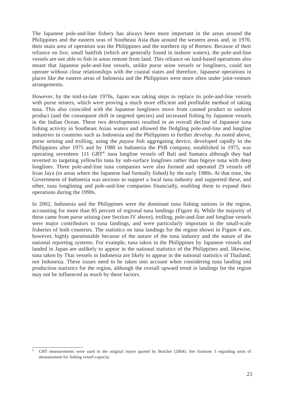The Japanese pole-and-line fishery has always been more important in the areas around the Philippines and the eastern seas of Southeast Asia than around the western areas and, in 1970, their main area of operation was the Philippines and the northern tip of Borneo. Because of their reliance on live, small baitfish (which are generally found in inshore waters), the pole-and-line vessels are not able to fish in areas remote from land. This reliance on land-based operations also meant that Japanese pole-and-line vessels, unlike purse seine vessels or longliners, could not operate without close relationships with the coastal states and therefore, Japanese operations in places like the eastern areas of Indonesia and the Philippines were more often under joint-venture arrangements.

However, by the mid-to-late 1970s, Japan was taking steps to replace its pole-and-line vessels with purse seiners, which were proving a much more efficient and profitable method of taking tuna. This also coincided with the Japanese longliners move from canned product to sashimi product (and the consequent shift in targeted species) and increased fishing by Japanese vessels in the Indian Ocean. These two developments resulted in an overall decline of Japanese tuna fishing activity in Southeast Asian waters and allowed the fledgling pole-and-line and longline industries in countries such as Indonesia and the Philippines to further develop. As noted above, purse seining and trolling, using the *payaw* fish aggregating device, developed rapidly in the Philippines after 1975 and by 1980 in Indonesia the PSB company, established in 1975, was operating seventeen 111 GRT4 tuna longline vessels off Bali and Sumatra although they had reverted to targeting yellowfin tuna by sub-surface longlines rather than bigeye tuna with deep longlines. Three pole-and-line tuna companies were also formed and operated 29 vessels off Irian Jaya (in areas where the Japanese had formally fished) by the early 1980s. At that time, the Government of Indonesia was anxious to support a local tuna industry and supported these, and other, tuna longlining and pole-and-line companies financially, enabling them to expand their operations during the 1990s.

In 2002, Indonesia and the Philippines were the dominant tuna fishing nations in the region, accounting for more than 85 percent of regional tuna landings (Figure 4). While the majority of these came from purse seining (see Section IV above), trolling, pole-and-line and longline vessels were major contributors to tuna landings, and were particularly important in the small-scale fisheries of both countries. The statistics on tuna landings for the region shown in Figure 4 are, however, highly questionable because of the nature of the tuna industry and the nature of the national reporting systems. For example, tuna taken in the Philippines by Japanese vessels and landed in Japan are unlikely to appear in the national statistics of the Philippines and, likewise, tuna taken by Thai vessels in Indonesia are likely to appear in the national statistics of Thailand, not Indonesia. These issues need to be taken into account when considering tuna landing and production statistics for the region, although the overall upward trend in landings for the region may not be influenced as much by these factors.

GRT measurements were used in the original report quoted by Butcher (2004). See footnote 3 regarding units of measurement for fishing vessel capacity.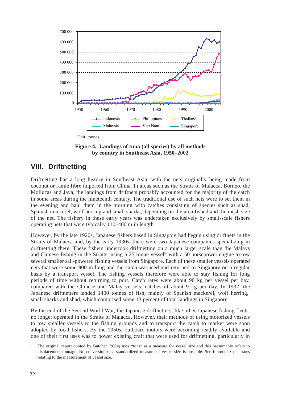

Unit: tonnes

**Figure 4. Landings of tuna (all species) by all methods by country in Southeast Asia, 1950–2002**

### **VIII. Driftnetting**

Driftnetting has a long history in Southeast Asia, with the nets originally being made from coconut or ramie fibre imported from China. In areas such as the Straits of Malacca, Borneo, the Mollucas and Java, the landings from driftnets probably accounted for the majority of the catch in some areas during the nineteenth century. The traditional use of such nets were to set them in the evening and haul them in the morning with catches consisting of species such as shad, Spanish mackerel, wolf herring and small sharks, depending on the area fished and the mesh size of the net. The fishery in these early years was undertaken exclusively by small-scale fishers operating nets that were typically 110–400 m in length.

However, by the late 1920s, Japanese fishers based in Singapore had begun using driftnets in the Straits of Malacca and, by the early 1930s, there were two Japanese companies specializing in driftnetting there. These fishers undertook driftnetting on a much larger scale than the Malays and Chinese fishing in the Straits, using a 25 tonne vessel<sup>5</sup> with a 50 horsepower engine to tow several smaller sail-powered fishing vessels from Singapore. Each of these smaller vessels operated nets that were some 900 m long and the catch was iced and returned to Singapore on a regular basis by a transport vessel. The fishing vessels therefore were able to stay fishing for long periods of time without returning to port. Catch rates were about 90 kg per vessel per day, compared with the Chinese and Malay vessels' catches of about 9 kg per day. In 1932, the Japanese driftnetters landed 1400 tonnes of fish, mainly of Spanish mackerel, wolf herring, small sharks and shad, which comprised some 13 percent of total landings in Singapore.

By the end of the Second World War, the Japanese driftnetters, like other Japanese fishing fleets, no longer operated in the Straits of Malacca. However, their methods of using motorized vessels to tow smaller vessels to the fishing grounds and to transport the catch to market were soon adopted by local fishers. By the 1950s, outboard motors were becoming readily available and one of their first uses was to power existing craft that were used for driftnetting, particularly in

<sup>&</sup>lt;sup>5</sup> The original report quoted by Butcher (2004) uses "tons" as a measure for vessel size and this presumably refers to displacement tonnage. No conversion to a standardized measure of vessel size is possible. See footnote 3 on issues relating to the measurement of vessel size.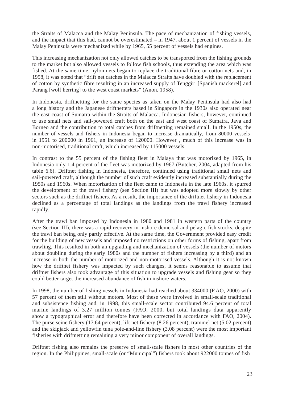the Straits of Malacca and the Malay Peninsula. The pace of mechanization of fishing vessels, and the impact that this had, cannot be overestimated – in 1947, about 1 percent of vessels in the Malay Peninsula were mechanized while by 1965, 55 percent of vessels had engines.

This increasing mechanization not only allowed catches to be transported from the fishing grounds to the market but also allowed vessels to follow fish schools, thus extending the area which was fished. At the same time, nylon nets began to replace the traditional fibre or cotton nets and, in 1958, it was noted that "drift net catches in the Malacca Straits have doubled with the replacement of cotton by synthetic fibre resulting in an increased supply of Tenggiri [Spanish mackerel] and Parang [wolf herring] to the west coast markets" (Anon, 1958).

In Indonesia, driftnetting for the same species as taken on the Malay Peninsula had also had a long history and the Japanese driftnetters based in Singapore in the 1930s also operated near the east coast of Sumatra within the Straits of Malacca. Indonesian fishers, however, continued to use small nets and sail-powered craft both on the east and west coast of Sumatra, Java and Borneo and the contribution to total catches from driftnetting remained small. In the 1950s, the number of vessels and fishers in Indonesia began to increase dramatically, from 80000 vessels in 1951 to 200000 in 1961, an increase of 120000. However , much of this increase was in non-motorised, traditional craft, which increased by 115000 vessels.

In contrast to the 55 percent of the fishing fleet in Malaya that was motorized by 1965, in Indonesia only 1.4 percent of the fleet was motorized by 1967 (Butcher, 2004, adapted from his table 6.6). Driftnet fishing in Indonesia, therefore, continued using traditional small nets and sail-powered craft, although the number of such craft evidently increased substantially during the 1950s and 1960s. When motorization of the fleet came to Indonesia in the late 1960s, it spurred the development of the trawl fishery (see Section III) but was adopted more slowly by other sectors such as the driftnet fishers. As a result, the importance of the driftnet fishery in Indonesia declined as a percentage of total landings as the landings from the trawl fishery increased rapidly.

After the trawl ban imposed by Indonesia in 1980 and 1981 in western parts of the country (see Section III), there was a rapid recovery in inshore demersal and pelagic fish stocks, despite the trawl ban being only partly effective. At the same time, the Government provided easy credit for the building of new vessels and imposed no restrictions on other forms of fishing, apart from trawling. This resulted in both an upgrading and mechanization of vessels (the number of motors about doubling during the early 1980s and the number of fishers increasing by a third) and an increase in both the number of motorized and non-motorised vessels. Although it is not known how the driftnet fishery was impacted by such changes, it seems reasonable to assume that driftnet fishers also took advantage of this situation to upgrade vessels and fishing gear so they could better target the increased abundance of fish in inshore waters.

In 1998, the number of fishing vessels in Indonesia had reached about 334000 (F AO, 2000) with 57 percent of them still without motors. Most of these were involved in small-scale traditional and subsistence fishing and, in 1998, this small-scale sector contributed 94.6 percent of total marine landings of 3.27 million tonnes (FAO, 2000, but total landings data apparently show a typographical error and therefore have been corrected in accordance with FAO, 2004). The purse seine fishery (17.64 percent), lift net fishery (8.26 percent), trammel net (5.02 percent) and the skipjack and yellowfin tuna pole-and-line fishery (3.08 percent) were the most important fisheries with driftnetting remaining a very minor component of overall landings.

Driftnet fishing also remains the preserve of small-scale fishers in most other countries of the region. In the Philippines, small-scale (or "Municipal") fishers took about 922000 tonnes of fish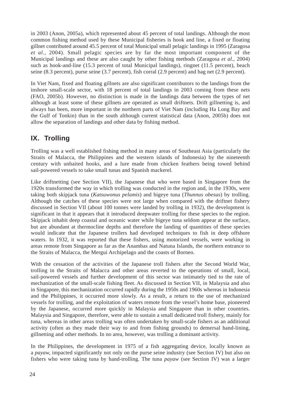in 2003 (Anon, 2005a), which represented about 45 percent of total landings. Although the most common fishing method used by these Municipal fisheries is hook and line, a fixed or floating gillnet contributed around 45.5 percent of total Municipal small pelagic landings in 1995 (Zaragosa *et al.,* 2004). Small pelagic species are by far the most important component of the Municipal landings and these are also caught by other fishing methods (Zaragosa *et al.,* 2004) such as hook-and-line (15.3 percent of total Municipal landings), ringnet (11.5 percent), beach seine (8.3 percent), purse seine (3.7 percent), fish corral (2.9 percent) and bag net (2.9 percent).

In Viet Nam, fixed and floating gillnets are also significant contributors to the landings from the inshore small-scale sector, with 18 percent of total landings in 2003 coming from these nets (FAO, 2005b). However, no distinction is made in the landings data between the types of net although at least some of these gillnets are operated as small driftnets. Drift gillnetting is, and always has been, more important in the northern parts of Viet Nam (including Ha Long Bay and the Gulf of Tonkin) than in the south although current statistical data (Anon, 2005b) does not allow the separation of landings and other data by fishing method.

### **IX. Trolling**

Trolling was a well established fishing method in many areas of Southeast Asia (particularly the Straits of Malacca, the Philippines and the western islands of Indonesia) by the nineteenth century with unbaited hooks, and a lure made from chicken feathers being towed behind sail-powered vessels to take small tunas and Spanish mackerel.

Like driftnetting (see Section VII), the Japanese that who were based in Singapore from the 1920s transformed the way in which trolling was conducted in the region and, in the 1930s, were taking both skipjack tuna (*Katsuwonus pelamis*) and bigeye tuna (*Thunnus obesus*) by trolling. Although the catches of these species were not large when compared with the driftnet fishery discussed in Section VII (about 100 tonnes were landed by trolling in 1932), the development is significant in that it appears that it introduced deepwater trolling for these species to the region. Skipjack inhabit deep coastal and oceanic water while bigeye tuna seldom appear at the surface, but are abundant at thermocline depths and therefore the landing of quantities of these species would indicate that the Japanese trollers had developed techniques to fish in deep offshore waters. In 1932, it was reported that these fishers, using motorized vessels, were working in areas remote from Singapore as far as the Anambas and Natuna Islands, the northern entrance to the Straits of Malacca, the Mergui Archipelago and the coasts of Borneo.

With the cessation of the activities of the Japanese troll fishers after the Second World War, trolling in the Straits of Malacca and other areas reverted to the operations of small, local, sail-powered vessels and further development of this sector was intimately tied to the rate of mechanization of the small-scale fishing fleet. As discussed in Section VII, in Malaysia and also in Singapore, this mechanization occurred rapidly during the 1950s and 1960s whereas in Indonesia and the Philippines, it occurred more slowly. As a result, a return to the use of mechanized vessels for trolling, and the exploitation of waters remote from the vessel's home base, pioneered by the Japanese, occurred more quickly in Malaysia and Singapore than in other countries. Malaysia and Singapore, therefore, were able to sustain a small dedicated troll fishery, mainly for tuna, whereas in other areas trolling was often undertaken by small-scale fishers as an additional activity (often as they made their way to and from fishing grounds) to demersal hand-lining, gillnetting and other methods. In no area, however, was trolling a dominant activity.

In the Philippines, the development in 1975 of a fish aggregating device, locally known as a *payaw,* impacted significantly not only on the purse seine industry (see Section IV) but also on fishers who were taking tuna by hand-trolling*.* The tuna *payaw* (see Section IV) was a larger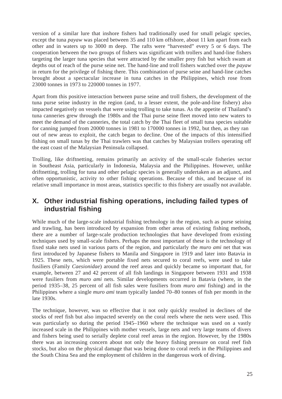version of a similar lure that inshore fishers had traditionally used for small pelagic species, except the tuna *payaw* was placed between 35 and 110 km offshore, about 11 km apart from each other and in waters up to 3000 m deep. The rafts were "harvested" every 5 or 6 days. The cooperation between the two groups of fishers was significant with trollers and hand-line fishers targeting the larger tuna species that were attracted by the smaller prey fish but which swam at depths out of reach of the purse seine net. The hand-line and troll fishers watched over the *payaw* in return for the privilege of fishing there. This combination of purse seine and hand-line catches brought about a spectacular increase in tuna catches in the Philippines, which rose from 23000 tonnes in 1973 to 220000 tonnes in 1977.

Apart from this positive interaction between purse seine and troll fishers, the development of the tuna purse seine industry in the region (and, to a lesser extent, the pole-and-line fishery) also impacted negatively on vessels that were using trolling to take tunas. As the appetite of Thailand's tuna canneries grew through the 1980s and the Thai purse seine fleet moved into new waters to meet the demand of the canneries, the total catch by the Thai fleet of small tuna species suitable for canning jumped from 20000 tonnes in 1981 to 170000 tonnes in 1992, but then, as they ran out of new areas to exploit, the catch began to decline. One of the impacts of this intensified fishing on small tunas by the Thai trawlers was that catches by Malaysian trollers operating off the east coast of the Malaysian Peninsula collapsed.

Trolling, like driftnetting, remains primarily an activity of the small-scale fisheries sector in Southeast Asia, particularly in Indonesia, Malaysia and the Philippines. However, unlike driftnetting, trolling for tuna and other pelagic species is generally undertaken as an adjunct, and often opportunistic, activity to other fishing operations. Because of this, and because of its relative small importance in most areas, statistics specific to this fishery are usually not available.

### **X. Other industrial fishing operations, including failed types of industrial fishing**

While much of the large-scale industrial fishing technology in the region, such as purse seining and trawling, has been introduced by expansion from other areas of existing fishing methods, there are a number of large-scale production technologies that have developed from existing techniques used by small-scale fishers. Perhaps the most important of these is the technology of fixed stake nets used in various parts of the region, and particularly the *muro ami* net that was first introduced by Japanese fishers to Manila and Singapore in 1919 and later into Batavia in 1925. These nets, which were portable fixed nets secured to coral reefs, were used to take fusiliers (Family *Caesionidae*) around the reef areas and quickly became so important that, for example, between 27 and 42 percent of all fish landings in Singapore between 1931 and 1938 were fusiliers from *muro ami* nets. Similar developments occurred in Batavia (where, in the period 1935–38, 25 percent of all fish sales were fusiliers from *muro ami* fishing) and in the Philippines where a single *muro ami* team typically landed 70–80 tonnes of fish per month in the late 1930s.

The technique, however, was so effective that it not only quickly resulted in declines of the stocks of reef fish but also impacted severely on the coral reefs where the nets were used. This was particularly so during the period 1945–1960 where the technique was used on a vastly increased scale in the Philippines with mother vessels, large nets and very large teams of divers and fishers being used to serially deplete coral reef areas in the region. However, by the 1980s there was an increasing concern about not only the heavy fishing pressure on coral reef fish stocks, but also on the physical damage that was being done to coral reefs in the Philippines and the South China Sea and the employment of children in the dangerous work of diving.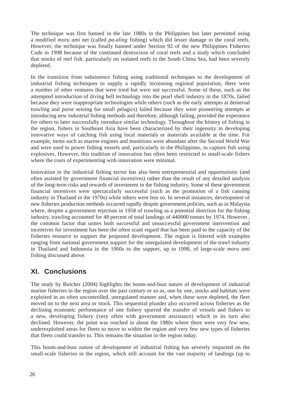The technique was first banned in the late 1980s in the Philippines but later permitted using a modified *moru ami* net (called *pa-aling* fishing) which did lesser damage to the coral reefs. However, the technique was finally banned under Section 92 of the new Philippines Fisheries Code in 1998 because of the continued destruction of coral reefs and a study which concluded that stocks of reef fish, particularly on isolated reefs in the South China Sea, had been severely depleted.

In the transition from subsistence fishing using traditional techniques to the development of industrial fishing techniques to supply a rapidly increasing regional population, there were a number of other ventures that were tried but were not successful. Some of these, such as the attempted introduction of diving bell technology into the pearl shell industry in the 1870s, failed because they were inappropriate technologies while others (such as the early attempts at demersal trawling and purse seining for small pelagics) failed because they were pioneering attempts at introducing new industrial fishing methods and therefore, although failing, provided the experience for others to later successfully introduce similar technology. Throughout the history of fishing in the region, fishers in Southeast Asia have been characterized by their ingenuity in developing innovative ways of catching fish using local materials or materials available at the time. For example, items such as marine engines and munitions were abundant after the Second World War and were used to power fishing vessels and, particularly in the Philippines, to capture fish using explosives. However, this tradition of innovation has often been restricted to small-scale fishers where the costs of experimenting with innovation were minimal.

Innovation in the industrial fishing sector has also been entrepreneurial and opportunistic (and often assisted by government financial incentives) rather than the result of any detailed analysis of the long-term risks and rewards of investment in the fishing industry. Some of these government financial incentives were spectacularly successful (such as the promotion of a fish canning industry in Thailand in the 1970s) while others were less so. In several instances, development of new fisheries production methods occurred rapidly despite government policies, such as in Malaysia where, despite a government rejection in 1958 of trawling as a potential direction for the fishing industry, trawling accounted for 48 percent of total landings of 440000 tonnes by 1974. However , the common factor that unites both successful and unsuccessful government intervention and incentives for investment has been the often scant regard that has been paid to the capacity of the fisheries resource to support the proposed development. The region is littered with examples ranging from national government support for the unregulated development of the trawl industry in Thailand and Indonesia in the 1960s to the support, up to 1998, of large-scale *moru ami* fishing discussed above.

### **XI. Conclusions**

The study by Butcher (2004) highlights the boom-and-bust nature of development of industrial marine fisheries in the region over the past century or so as, one by one, stocks and habitats were exploited in an often uncontrolled, unregulated manner and, when these were depleted, the fleet moved on to the next area or stock. This sequential plunder also occurred across fisheries as the declining economic performance of one fishery spurred the transfer of vessels and fishers to a new, developing fishery (very often with government assistance) which in its turn also declined. However, the point was reached in about the 1980s where there were very few new, underexploited areas for fleets to move to within the region and very few new types of fisheries that fleets could transfer to. This remains the situation in the region today.

This boom-and-bust nature of development of industrial fishing has severely impacted on the small-scale fisheries in the region, which still account for the vast majority of landings (up to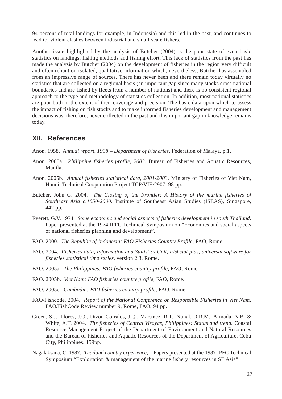94 percent of total landings for example, in Indonesia) and this led in the past, and continues to lead to, violent clashes between industrial and small-scale fishers.

Another issue highlighted by the analysis of Butcher (2004) is the poor state of even basic statistics on landings, fishing methods and fishing effort. This lack of statistics from the past has made the analysis by Butcher (2004) on the development of fisheries in the region very difficult and often reliant on isolated, qualitative information which, nevertheless, Butcher has assembled from an impressive range of sources. There has never been and there remain today virtually no statistics that are collected on a regional basis (an important gap since many stocks cross national boundaries and are fished by fleets from a number of nations) and there is no consistent regional approach to the type and methodology of statistics collection. In addition, most national statistics are poor both in the extent of their coverage and precision. The basic data upon which to assess the impact of fishing on fish stocks and to make informed fisheries development and management decisions was, therefore, never collected in the past and this important gap in knowledge remains today.

### **XII. References**

- Anon. 1958. *Annual report, 1958 Department of Fisheries*, Federation of Malaya, p.1.
- Anon. 2005a. *Philippine fisheries profile, 2003*. Bureau of Fisheries and Aquatic Resources, Manila.
- Anon. 2005b. *Annual fisheries statistical data, 2001-2003*, Ministry of Fisheries of Viet Nam, Hanoi, Technical Cooperation Project TCP/VIE/2907, 98 pp.
- Butcher, John G. 2004. *The Closing of the Frontier: A History of the marine fisheries of Southeast Asia c.1850-2000*. Institute of Southeast Asian Studies (ISEAS), Singapore, 442 pp.
- Everett, G.V. 1974. *Some economic and social aspects of fisheries development in south Thailand.* Paper presented at the 1974 IPFC Technical Symposium on "Economics and social aspects of national fisheries planning and development".
- FAO. 2000. *The Republic of Indonesia: FAO Fisheries Country Profile, FAO, Rome.*
- FAO. 2004. *Fisheries data, Information and Statistics Unit, Fishstat plus, universal software for fisheries statistical time series*, version 2.3, Rome.
- FAO. 2005a. *The Philippines: FAO fisheries country profile,* FAO, Rome.
- FAO. 2005b. *Viet Nam: FAO fisheries country profile,* FAO, Rome.
- FAO. 2005c. *Cambodia: FAO fisheries country profile,* FAO, Rome.
- FAO/Fishcode. 2004. *Report of the National Conference on Responsible Fisheries in Viet Nam,* FAO/FishCode Review number 9, Rome, FAO, 94 pp.
- Green, S.J., Flores, J.O., Dizon-Corrales, J.Q., Martinez, R.T., Nunal, D.R.M., Armada, N.B. & White, A.T. 2004. *The fisheries of Central Visayas, Philippines: Status and trend.* Coastal Resource Management Project of the Department of Environment and Natural Resources and the Bureau of Fisheries and Aquatic Resources of the Department of Agriculture, Cebu City, Philippines. 159pp.
- Nagalaksana, C. 1987. *Thailand country experience,* Papers presented at the 1987 IPFC Technical Symposium "Exploitation & management of the marine fishery resources in SE Asia".